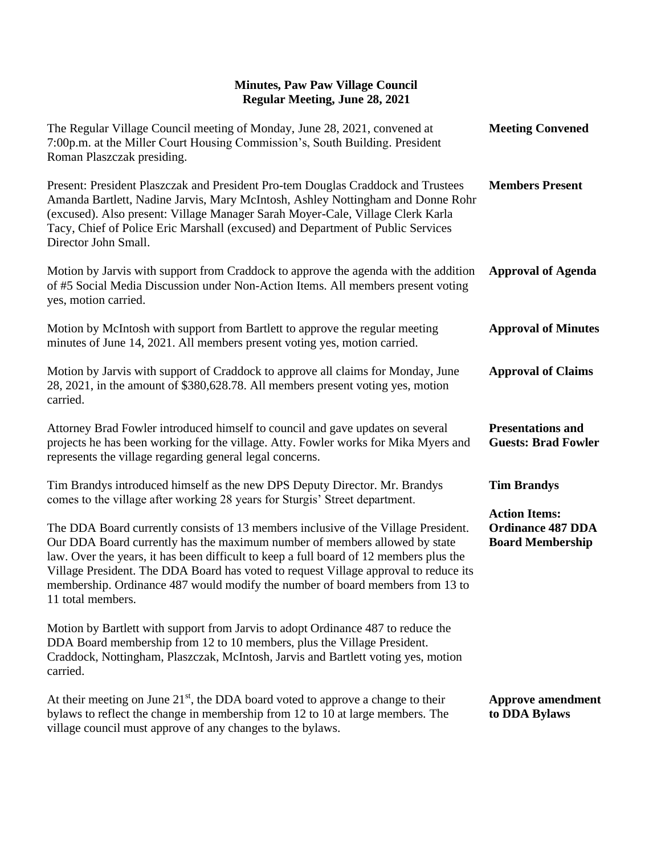| The Regular Village Council meeting of Monday, June 28, 2021, convened at<br>7:00p.m. at the Miller Court Housing Commission's, South Building. President<br>Roman Plaszczak presiding.                                                                                                                                                                                                                                                                  | <b>Meeting Convened</b>                                                     |
|----------------------------------------------------------------------------------------------------------------------------------------------------------------------------------------------------------------------------------------------------------------------------------------------------------------------------------------------------------------------------------------------------------------------------------------------------------|-----------------------------------------------------------------------------|
| Present: President Plaszczak and President Pro-tem Douglas Craddock and Trustees<br>Amanda Bartlett, Nadine Jarvis, Mary McIntosh, Ashley Nottingham and Donne Rohr<br>(excused). Also present: Village Manager Sarah Moyer-Cale, Village Clerk Karla<br>Tacy, Chief of Police Eric Marshall (excused) and Department of Public Services<br>Director John Small.                                                                                         | <b>Members Present</b>                                                      |
| Motion by Jarvis with support from Craddock to approve the agenda with the addition<br>of #5 Social Media Discussion under Non-Action Items. All members present voting<br>yes, motion carried.                                                                                                                                                                                                                                                          | <b>Approval of Agenda</b>                                                   |
| Motion by McIntosh with support from Bartlett to approve the regular meeting<br>minutes of June 14, 2021. All members present voting yes, motion carried.                                                                                                                                                                                                                                                                                                | <b>Approval of Minutes</b>                                                  |
| Motion by Jarvis with support of Craddock to approve all claims for Monday, June<br>28, 2021, in the amount of \$380,628.78. All members present voting yes, motion<br>carried.                                                                                                                                                                                                                                                                          | <b>Approval of Claims</b>                                                   |
| Attorney Brad Fowler introduced himself to council and gave updates on several<br>projects he has been working for the village. Atty. Fowler works for Mika Myers and<br>represents the village regarding general legal concerns.                                                                                                                                                                                                                        | <b>Presentations and</b><br><b>Guests: Brad Fowler</b>                      |
| Tim Brandys introduced himself as the new DPS Deputy Director. Mr. Brandys<br>comes to the village after working 28 years for Sturgis' Street department.                                                                                                                                                                                                                                                                                                | <b>Tim Brandys</b>                                                          |
| The DDA Board currently consists of 13 members inclusive of the Village President.<br>Our DDA Board currently has the maximum number of members allowed by state<br>law. Over the years, it has been difficult to keep a full board of 12 members plus the<br>Village President. The DDA Board has voted to request Village approval to reduce its<br>membership. Ordinance 487 would modify the number of board members from 13 to<br>11 total members. | <b>Action Items:</b><br><b>Ordinance 487 DDA</b><br><b>Board Membership</b> |
| Motion by Bartlett with support from Jarvis to adopt Ordinance 487 to reduce the<br>DDA Board membership from 12 to 10 members, plus the Village President.<br>Craddock, Nottingham, Plaszczak, McIntosh, Jarvis and Bartlett voting yes, motion<br>carried.                                                                                                                                                                                             |                                                                             |
| At their meeting on June $21st$ , the DDA board voted to approve a change to their<br>bylaws to reflect the change in membership from 12 to 10 at large members. The                                                                                                                                                                                                                                                                                     | <b>Approve amendment</b><br>to DDA Bylaws                                   |

village council must approve of any changes to the bylaws.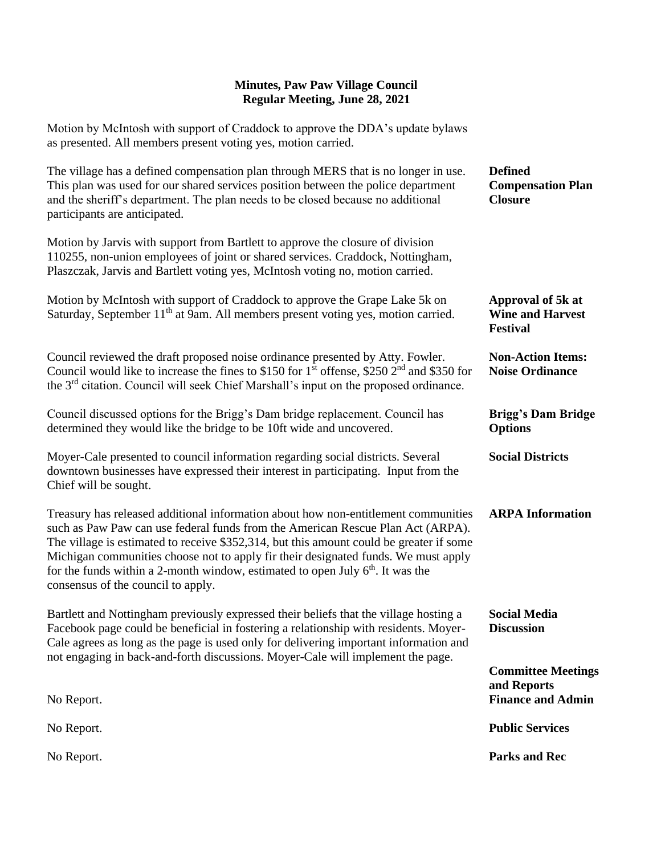Motion by McIntosh with support of Craddock to approve the DDA's update bylaws as presented. All members present voting yes, motion carried.

| The village has a defined compensation plan through MERS that is no longer in use.<br>This plan was used for our shared services position between the police department<br>and the sheriff's department. The plan needs to be closed because no additional<br>participants are anticipated.                                                                                                                                                                                      | <b>Defined</b><br><b>Compensation Plan</b><br><b>Closure</b>         |
|----------------------------------------------------------------------------------------------------------------------------------------------------------------------------------------------------------------------------------------------------------------------------------------------------------------------------------------------------------------------------------------------------------------------------------------------------------------------------------|----------------------------------------------------------------------|
| Motion by Jarvis with support from Bartlett to approve the closure of division<br>110255, non-union employees of joint or shared services. Craddock, Nottingham,<br>Plaszczak, Jarvis and Bartlett voting yes, McIntosh voting no, motion carried.                                                                                                                                                                                                                               |                                                                      |
| Motion by McIntosh with support of Craddock to approve the Grape Lake 5k on<br>Saturday, September 11 <sup>th</sup> at 9am. All members present voting yes, motion carried.                                                                                                                                                                                                                                                                                                      | Approval of 5k at<br><b>Wine and Harvest</b><br><b>Festival</b>      |
| Council reviewed the draft proposed noise ordinance presented by Atty. Fowler.<br>Council would like to increase the fines to \$150 for 1 <sup>st</sup> offense, \$250 $2nd$ and \$350 for<br>the 3 <sup>rd</sup> citation. Council will seek Chief Marshall's input on the proposed ordinance.                                                                                                                                                                                  | <b>Non-Action Items:</b><br><b>Noise Ordinance</b>                   |
| Council discussed options for the Brigg's Dam bridge replacement. Council has<br>determined they would like the bridge to be 10ft wide and uncovered.                                                                                                                                                                                                                                                                                                                            | <b>Brigg's Dam Bridge</b><br><b>Options</b>                          |
| Moyer-Cale presented to council information regarding social districts. Several<br>downtown businesses have expressed their interest in participating. Input from the<br>Chief will be sought.                                                                                                                                                                                                                                                                                   | <b>Social Districts</b>                                              |
| Treasury has released additional information about how non-entitlement communities<br>such as Paw Paw can use federal funds from the American Rescue Plan Act (ARPA).<br>The village is estimated to receive \$352,314, but this amount could be greater if some<br>Michigan communities choose not to apply fir their designated funds. We must apply<br>for the funds within a 2-month window, estimated to open July $6th$ . It was the<br>consensus of the council to apply. | <b>ARPA Information</b>                                              |
| Bartlett and Nottingham previously expressed their beliefs that the village hosting a<br>Facebook page could be beneficial in fostering a relationship with residents. Moyer-<br>Cale agrees as long as the page is used only for delivering important information and<br>not engaging in back-and-forth discussions. Moyer-Cale will implement the page.                                                                                                                        | <b>Social Media</b><br><b>Discussion</b>                             |
| No Report.                                                                                                                                                                                                                                                                                                                                                                                                                                                                       | <b>Committee Meetings</b><br>and Reports<br><b>Finance and Admin</b> |
| No Report.                                                                                                                                                                                                                                                                                                                                                                                                                                                                       | <b>Public Services</b>                                               |
| No Report.                                                                                                                                                                                                                                                                                                                                                                                                                                                                       | <b>Parks and Rec</b>                                                 |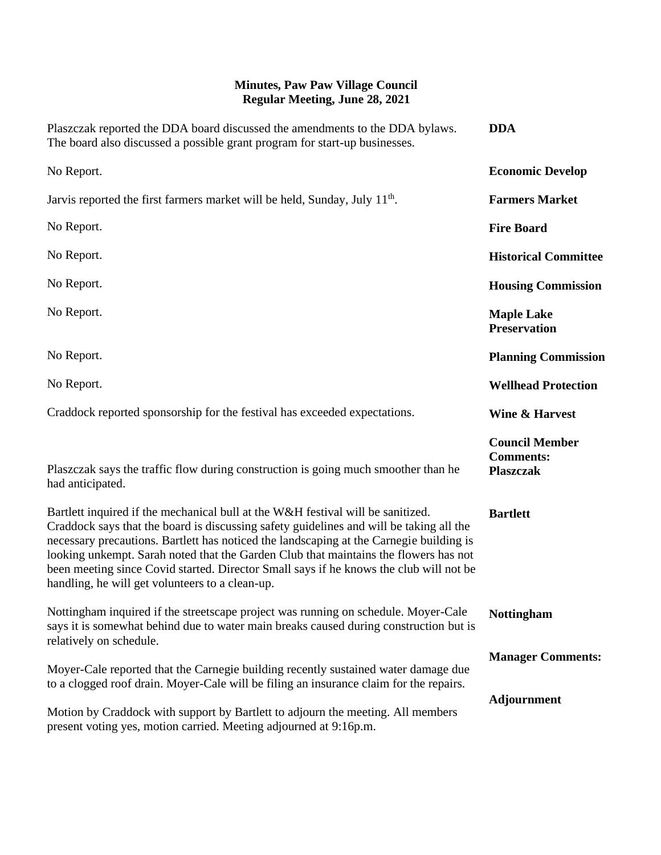| Plaszczak reported the DDA board discussed the amendments to the DDA bylaws.<br>The board also discussed a possible grant program for start-up businesses.                                                                                                                                                                                                                                                                                                                                                 | <b>DDA</b>                                                    |
|------------------------------------------------------------------------------------------------------------------------------------------------------------------------------------------------------------------------------------------------------------------------------------------------------------------------------------------------------------------------------------------------------------------------------------------------------------------------------------------------------------|---------------------------------------------------------------|
| No Report.                                                                                                                                                                                                                                                                                                                                                                                                                                                                                                 | <b>Economic Develop</b>                                       |
| Jarvis reported the first farmers market will be held, Sunday, July 11 <sup>th</sup> .                                                                                                                                                                                                                                                                                                                                                                                                                     | <b>Farmers Market</b>                                         |
| No Report.                                                                                                                                                                                                                                                                                                                                                                                                                                                                                                 | <b>Fire Board</b>                                             |
| No Report.                                                                                                                                                                                                                                                                                                                                                                                                                                                                                                 | <b>Historical Committee</b>                                   |
| No Report.                                                                                                                                                                                                                                                                                                                                                                                                                                                                                                 | <b>Housing Commission</b>                                     |
| No Report.                                                                                                                                                                                                                                                                                                                                                                                                                                                                                                 | <b>Maple Lake</b><br><b>Preservation</b>                      |
| No Report.                                                                                                                                                                                                                                                                                                                                                                                                                                                                                                 | <b>Planning Commission</b>                                    |
| No Report.                                                                                                                                                                                                                                                                                                                                                                                                                                                                                                 | <b>Wellhead Protection</b>                                    |
| Craddock reported sponsorship for the festival has exceeded expectations.                                                                                                                                                                                                                                                                                                                                                                                                                                  | Wine & Harvest                                                |
| Plaszczak says the traffic flow during construction is going much smoother than he<br>had anticipated.                                                                                                                                                                                                                                                                                                                                                                                                     | <b>Council Member</b><br><b>Comments:</b><br><b>Plaszczak</b> |
| Bartlett inquired if the mechanical bull at the W&H festival will be sanitized.<br>Craddock says that the board is discussing safety guidelines and will be taking all the<br>necessary precautions. Bartlett has noticed the landscaping at the Carnegie building is<br>looking unkempt. Sarah noted that the Garden Club that maintains the flowers has not<br>been meeting since Covid started. Director Small says if he knows the club will not be<br>handling, he will get volunteers to a clean-up. | <b>Bartlett</b>                                               |
| Nottingham inquired if the streetscape project was running on schedule. Moyer-Cale<br>says it is somewhat behind due to water main breaks caused during construction but is<br>relatively on schedule.                                                                                                                                                                                                                                                                                                     | <b>Nottingham</b>                                             |
| Moyer-Cale reported that the Carnegie building recently sustained water damage due                                                                                                                                                                                                                                                                                                                                                                                                                         | <b>Manager Comments:</b>                                      |
| to a clogged roof drain. Moyer-Cale will be filing an insurance claim for the repairs.                                                                                                                                                                                                                                                                                                                                                                                                                     | <b>Adjournment</b>                                            |
| Motion by Craddock with support by Bartlett to adjourn the meeting. All members<br>present voting yes, motion carried. Meeting adjourned at 9:16p.m.                                                                                                                                                                                                                                                                                                                                                       |                                                               |